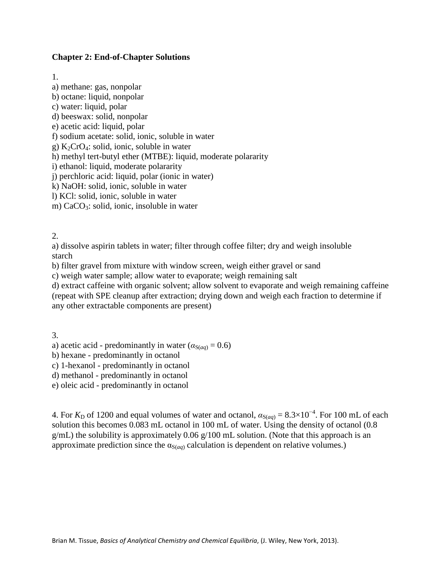### **Chapter 2: End-of-Chapter Solutions**

1.

a) methane: gas, nonpolar b) octane: liquid, nonpolar c) water: liquid, polar d) beeswax: solid, nonpolar e) acetic acid: liquid, polar f) sodium acetate: solid, ionic, soluble in water g)  $K_2CrO_4$ : solid, ionic, soluble in water h) methyl tert-butyl ether (MTBE): liquid, moderate polararity i) ethanol: liquid, moderate polararity j) perchloric acid: liquid, polar (ionic in water) k) NaOH: solid, ionic, soluble in water l) KCl: solid, ionic, soluble in water m) CaCO<sub>3</sub>: solid, ionic, insoluble in water

2.

a) dissolve aspirin tablets in water; filter through coffee filter; dry and weigh insoluble starch

b) filter gravel from mixture with window screen, weigh either gravel or sand

c) weigh water sample; allow water to evaporate; weigh remaining salt

d) extract caffeine with organic solvent; allow solvent to evaporate and weigh remaining caffeine (repeat with SPE cleanup after extraction; drying down and weigh each fraction to determine if any other extractable components are present)

3.

a) acetic acid - predominantly in water ( $\alpha_{S(aq)} = 0.6$ )

b) hexane - predominantly in octanol

c) 1-hexanol - predominantly in octanol

d) methanol - predominantly in octanol

e) oleic acid - predominantly in octanol

4. For  $K_D$  of 1200 and equal volumes of water and octanol,  $\alpha_{S(aq)} = 8.3 \times 10^{-4}$ . For 100 mL of each solution this becomes 0.083 mL octanol in 100 mL of water. Using the density of octanol (0.8  $g/mL$ ) the solubility is approximately 0.06  $g/100$  mL solution. (Note that this approach is an approximate prediction since the  $\alpha_{S(aq)}$  calculation is dependent on relative volumes.)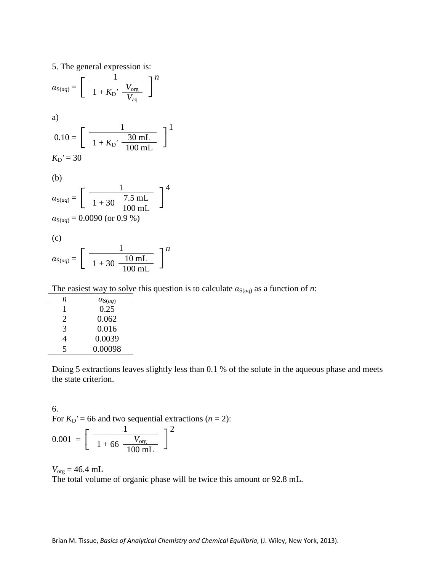5. The general expression is:  $\overline{\Gamma}$  $a_{S(aq)} =$  $\overline{C}$ 1 ┐*n*  $1 + K_{\rm D}' \frac{V_{\rm org}}{V_{\rm aq}}$ a)  $\overline{\Gamma}$  $0.10 =$  $\overline{C}$  $1 \qquad \qquad$   $1$  $1 + K_{\text{D}}' \frac{30 \text{ mL}}{100 \text{ mL}} \frac{}{}$  $K_D' = 30$ (b)  $\overline{\Gamma}$  $\alpha_{S(aq)} =$  $\overline{a}$  $1 \qquad \qquad$   $7^4$  $1 + 30 \frac{7.5 \text{ mL}}{100 \text{ mL}}$  $\alpha_{S(aq)} = 0.0090$  (or 0.9 %) (c)  $\overline{\Gamma}$  $\alpha_{S(aq)} =$  $\overline{C}$ 1 ┐*n*  $1 + 30 \frac{10 \text{ mL}}{100 \text{ mL}}$ 

The easiest way to solve this question is to calculate  $\alpha_{S(aq)}$  as a function of *n*:

| n | $a_{S(aq)}$ |  |  |
|---|-------------|--|--|
|   | 0.25        |  |  |
| 2 | 0.062       |  |  |
| 3 | 0.016       |  |  |
| 4 | 0.0039      |  |  |
| 5 | 0.00098     |  |  |
|   |             |  |  |

Doing 5 extractions leaves slightly less than 0.1 % of the solute in the aqueous phase and meets the state criterion.

6. For  $K_D' = 66$  and two sequential extractions  $(n = 2)$ :  $\overline{\Gamma}$  $0.001 = |$  $\overline{C}$  $1 \qquad \qquad 1^2$  $1 + 66 \frac{V_{\text{org}}}{100 \text{ mL}}$ 

 $V_{org} = 46.4$  mL The total volume of organic phase will be twice this amount or 92.8 mL.

Brian M. Tissue, *Basics of Analytical Chemistry and Chemical Equilibria*, (J. Wiley, New York, 2013).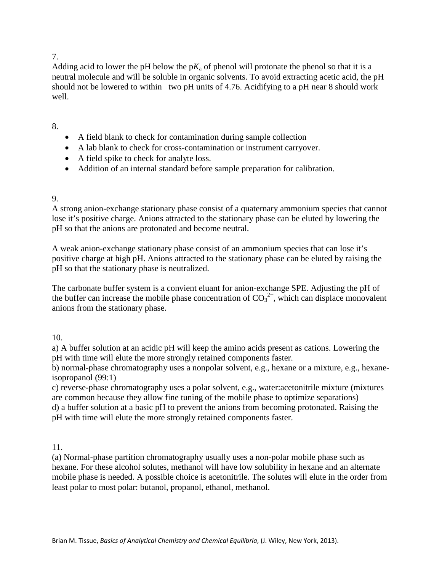# 7.

Adding acid to lower the pH below the  $pK_a$  of phenol will protonate the phenol so that it is a neutral molecule and will be soluble in organic solvents. To avoid extracting acetic acid, the pH should not be lowered to within two pH units of 4.76. Acidifying to a pH near 8 should work well.

## 8.

- A field blank to check for contamination during sample collection
- A lab blank to check for cross-contamination or instrument carryover.
- A field spike to check for analyte loss.
- Addition of an internal standard before sample preparation for calibration.

# 9.

A strong anion-exchange stationary phase consist of a quaternary ammonium species that cannot lose it's positive charge. Anions attracted to the stationary phase can be eluted by lowering the pH so that the anions are protonated and become neutral.

A weak anion-exchange stationary phase consist of an ammonium species that can lose it's positive charge at high pH. Anions attracted to the stationary phase can be eluted by raising the pH so that the stationary phase is neutralized.

The carbonate buffer system is a convient eluant for anion-exchange SPE. Adjusting the pH of the buffer can increase the mobile phase concentration of  $CO_3^2$ , which can displace monovalent anions from the stationary phase.

# 10.

a) A buffer solution at an acidic pH will keep the amino acids present as cations. Lowering the pH with time will elute the more strongly retained components faster.

b) normal-phase chromatography uses a nonpolar solvent, e.g., hexane or a mixture, e.g., hexaneisopropanol (99:1)

c) reverse-phase chromatography uses a polar solvent, e.g., water:acetonitrile mixture (mixtures are common because they allow fine tuning of the mobile phase to optimize separations) d) a buffer solution at a basic pH to prevent the anions from becoming protonated. Raising the pH with time will elute the more strongly retained components faster.

### 11.

(a) Normal-phase partition chromatography usually uses a non-polar mobile phase such as hexane. For these alcohol solutes, methanol will have low solubility in hexane and an alternate mobile phase is needed. A possible choice is acetonitrile. The solutes will elute in the order from least polar to most polar: butanol, propanol, ethanol, methanol.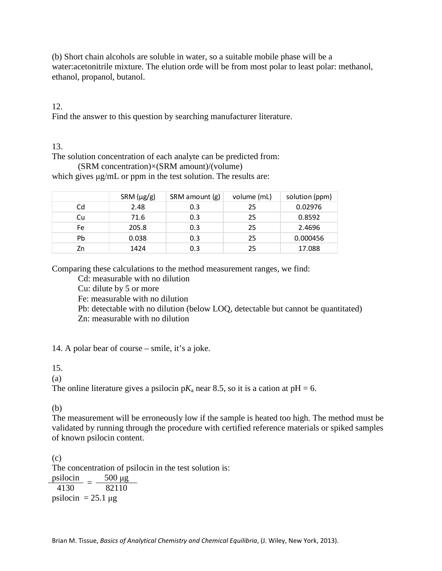(b) Short chain alcohols are soluble in water, so a suitable mobile phase will be a water:acetonitrile mixture. The elution orde will be from most polar to least polar: methanol, ethanol, propanol, butanol.

# 12.

Find the answer to this question by searching manufacturer literature.

# 13.

The solution concentration of each analyte can be predicted from:

(SRM concentration)×(SRM amount)/(volume) which gives μg/mL or ppm in the test solution. The results are:

|    | SRM (µg/g) | SRM amount (g) | volume (mL) | solution (ppm) |
|----|------------|----------------|-------------|----------------|
| Cd | 2.48       | 0.3            | 25          | 0.02976        |
| Cu | 71.6       | 0.3            | 25          | 0.8592         |
| Fe | 205.8      | 0.3            | 25          | 2.4696         |
| Pb | 0.038      | 0.3            | 25          | 0.000456       |
| Zn | 1424       | 0.3            | 25          | 17.088         |

Comparing these calculations to the method measurement ranges, we find:

Cd: measurable with no dilution

Cu: dilute by 5 or more

Fe: measurable with no dilution

Pb: detectable with no dilution (below LOQ, detectable but cannot be quantitated)

Zn: measurable with no dilution

14. A polar bear of course – smile, it's a joke.

# 15.

(a)

The online literature gives a psilocin  $pK_a$  near 8.5, so it is a cation at  $pH = 6$ .

# (b)

The measurement will be erroneously low if the sample is heated too high. The method must be validated by running through the procedure with certified reference materials or spiked samples of known psilocin content.

(c) The concentration of psilocin in the test solution is:  $\frac{\text{psilocin}}{4130} = \frac{500 \text{ µg}}{82110}$ psilocin =  $25.1 \mu$ g